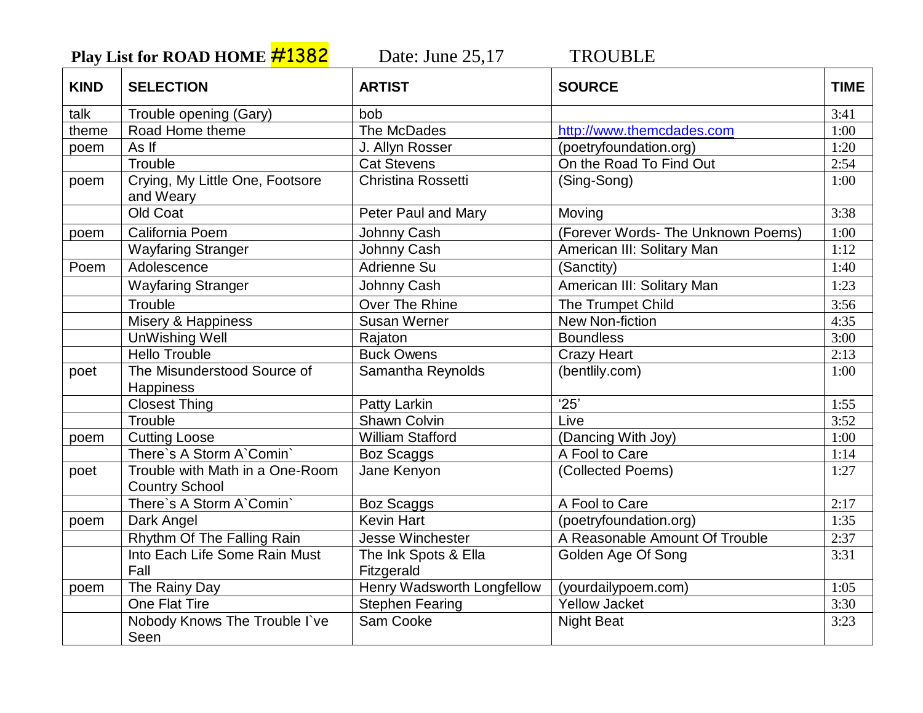Play List for ROAD HOME **#1382** Date: June 25,17 TROUBLE

| <b>KIND</b> | <b>SELECTION</b>                                         | <b>ARTIST</b>                      | <b>SOURCE</b>                      | <b>TIME</b> |
|-------------|----------------------------------------------------------|------------------------------------|------------------------------------|-------------|
| talk        | Trouble opening (Gary)                                   | bob                                |                                    | 3:41        |
| theme       | Road Home theme                                          | The McDades                        | http://www.themcdades.com          | 1:00        |
| poem        | As If                                                    | J. Allyn Rosser                    | (poetryfoundation.org)             | 1:20        |
|             | Trouble                                                  | <b>Cat Stevens</b>                 | On the Road To Find Out            | 2:54        |
| poem        | Crying, My Little One, Footsore<br>and Weary             | Christina Rossetti                 | (Sing-Song)                        | 1:00        |
|             | Old Coat                                                 | Peter Paul and Mary                | Moving                             | 3:38        |
| poem        | California Poem                                          | Johnny Cash                        | (Forever Words- The Unknown Poems) | 1:00        |
|             | <b>Wayfaring Stranger</b>                                | Johnny Cash                        | American III: Solitary Man         | 1:12        |
| Poem        | Adolescence                                              | Adrienne Su                        | (Sanctity)                         | 1:40        |
|             | <b>Wayfaring Stranger</b>                                | Johnny Cash                        | American III: Solitary Man         | 1:23        |
|             | Trouble                                                  | Over The Rhine                     | The Trumpet Child                  | 3:56        |
|             | Misery & Happiness                                       | Susan Werner                       | <b>New Non-fiction</b>             | 4:35        |
|             | <b>UnWishing Well</b>                                    | Rajaton                            | <b>Boundless</b>                   | 3:00        |
|             | <b>Hello Trouble</b>                                     | <b>Buck Owens</b>                  | <b>Crazy Heart</b>                 | 2:13        |
| poet        | The Misunderstood Source of<br>Happiness                 | Samantha Reynolds                  | (bentlily.com)                     | 1:00        |
|             | Closest Thing                                            | Patty Larkin                       | '25'                               | 1:55        |
|             | Trouble                                                  | <b>Shawn Colvin</b>                | Live                               | 3:52        |
| poem        | <b>Cutting Loose</b>                                     | <b>William Stafford</b>            | (Dancing With Joy)                 | 1:00        |
|             | There's A Storm A'Comin'                                 | <b>Boz Scaggs</b>                  | A Fool to Care                     | 1:14        |
| poet        | Trouble with Math in a One-Room<br><b>Country School</b> | Jane Kenyon                        | (Collected Poems)                  | 1:27        |
|             | There's A Storm A'Comin'                                 | <b>Boz Scaggs</b>                  | A Fool to Care                     | 2:17        |
| poem        | Dark Angel                                               | <b>Kevin Hart</b>                  | (poetryfoundation.org)             | 1:35        |
|             | Rhythm Of The Falling Rain                               | Jesse Winchester                   | A Reasonable Amount Of Trouble     | 2:37        |
|             | Into Each Life Some Rain Must<br>Fall                    | The Ink Spots & Ella<br>Fitzgerald | Golden Age Of Song                 | 3:31        |
| poem        | The Rainy Day                                            | Henry Wadsworth Longfellow         | (yourdailypoem.com)                | 1:05        |
|             | <b>One Flat Tire</b>                                     | <b>Stephen Fearing</b>             | <b>Yellow Jacket</b>               | 3:30        |
|             | Nobody Knows The Trouble I've<br>Seen                    | Sam Cooke                          | <b>Night Beat</b>                  | 3:23        |